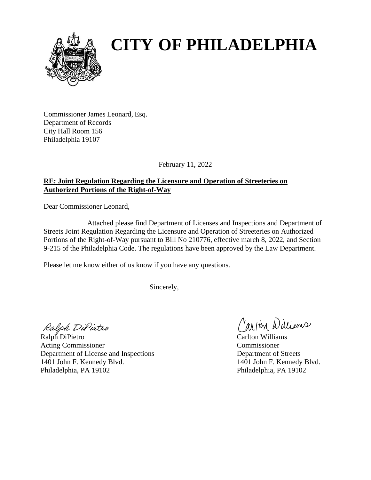

# **CITY OF PHILADELPHIA**

Commissioner James Leonard, Esq. Department of Records City Hall Room 156 Philadelphia 19107

February 11, 2022

# **RE: Joint Regulation Regarding the Licensure and Operation of Streeteries on Authorized Portions of the Right-of-Way**

Dear Commissioner Leonard,

Attached please find Department of Licenses and Inspections and Department of Streets Joint Regulation Regarding the Licensure and Operation of Streeteries on Authorized Portions of the Right-of-Way pursuant to Bill No 210776, effective march 8, 2022, and Section 9-215 of the Philadelphia Code. The regulations have been approved by the Law Department.

Please let me know either of us know if you have any questions.

Sincerely,

Ralph DiPietro

Ralph DiPietro Carlton Williams Acting Commissioner Commissioner Department of License and Inspections Department of Streets 1401 John F. Kennedy Blvd. 1401 John F. Kennedy Blvd. Philadelphia, PA 19102 Philadelphia, PA 19102

Cariton Williams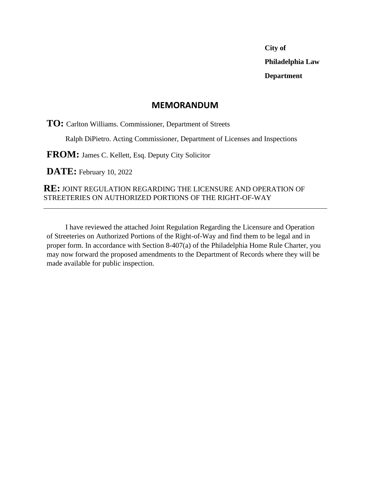**City of Philadelphia Law Department**

# **MEMORANDUM**

**TO:** Carlton Williams. Commissioner, Department of Streets

Ralph DiPietro. Acting Commissioner, Department of Licenses and Inspections

**FROM:** James C. Kellett, Esq. Deputy City Solicitor

**DATE:** February 10, 2022

# **RE:** JOINT REGULATION REGARDING THE LICENSURE AND OPERATION OF STREETERIES ON AUTHORIZED PORTIONS OF THE RIGHT-OF-WAY

I have reviewed the attached Joint Regulation Regarding the Licensure and Operation of Streeteries on Authorized Portions of the Right-of-Way and find them to be legal and in proper form. In accordance with Section 8-407(a) of the Philadelphia Home Rule Charter, you may now forward the proposed amendments to the Department of Records where they will be made available for public inspection.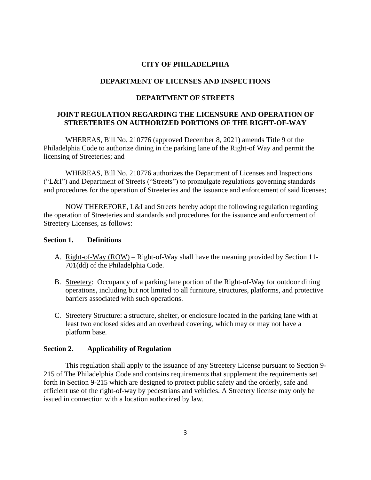#### **CITY OF PHILADELPHIA**

#### **DEPARTMENT OF LICENSES AND INSPECTIONS**

#### **DEPARTMENT OF STREETS**

# **JOINT REGULATION REGARDING THE LICENSURE AND OPERATION OF STREETERIES ON AUTHORIZED PORTIONS OF THE RIGHT-OF-WAY**

WHEREAS, Bill No. 210776 (approved December 8, 2021) amends Title 9 of the Philadelphia Code to authorize dining in the parking lane of the Right-of Way and permit the licensing of Streeteries; and

WHEREAS, Bill No. 210776 authorizes the Department of Licenses and Inspections ("L&I") and Department of Streets ("Streets") to promulgate regulations governing standards and procedures for the operation of Streeteries and the issuance and enforcement of said licenses;

NOW THEREFORE, L&I and Streets hereby adopt the following regulation regarding the operation of Streeteries and standards and procedures for the issuance and enforcement of Streetery Licenses, as follows:

#### **Section 1. Definitions**

- A. Right-of-Way (ROW) Right-of-Way shall have the meaning provided by Section 11- 701(dd) of the Philadelphia Code.
- B. Streetery: Occupancy of a parking lane portion of the Right-of-Way for outdoor dining operations, including but not limited to all furniture, structures, platforms, and protective barriers associated with such operations.
- C. Streetery Structure: a structure, shelter, or enclosure located in the parking lane with at least two enclosed sides and an overhead covering, which may or may not have a platform base.

# **Section 2. Applicability of Regulation**

This regulation shall apply to the issuance of any Streetery License pursuant to Section 9- 215 of The Philadelphia Code and contains requirements that supplement the requirements set forth in Section 9-215 which are designed to protect public safety and the orderly, safe and efficient use of the right-of-way by pedestrians and vehicles. A Streetery license may only be issued in connection with a location authorized by law.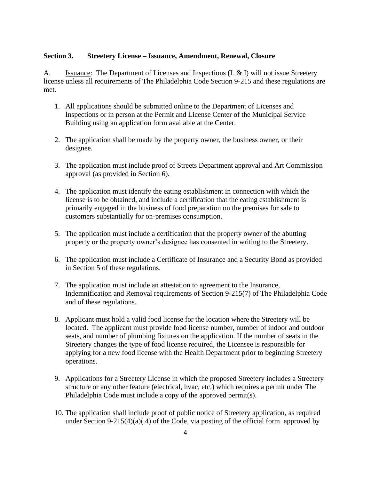#### **Section 3. Streetery License – Issuance, Amendment, Renewal, Closure**

A. Issuance: The Department of Licenses and Inspections (L & I) will not issue Streetery license unless all requirements of The Philadelphia Code Section 9-215 and these regulations are met.

- 1. All applications should be submitted online to the Department of Licenses and Inspections or in person at the Permit and License Center of the Municipal Service Building using an application form available at the Center.
- 2. The application shall be made by the property owner, the business owner, or their designee.
- 3. The application must include proof of Streets Department approval and Art Commission approval (as provided in Section 6).
- 4. The application must identify the eating establishment in connection with which the license is to be obtained, and include a certification that the eating establishment is primarily engaged in the business of food preparation on the premises for sale to customers substantially for on-premises consumption.
- 5. The application must include a certification that the property owner of the abutting property or the property owner's designee has consented in writing to the Streetery.
- 6. The application must include a Certificate of Insurance and a Security Bond as provided in Section 5 of these regulations.
- 7. The application must include an attestation to agreement to the Insurance, Indemnification and Removal requirements of Section 9-215(7) of The Philadelphia Code and of these regulations.
- 8. Applicant must hold a valid food license for the location where the Streetery will be located. The applicant must provide food license number, number of indoor and outdoor seats, and number of plumbing fixtures on the application. If the number of seats in the Streetery changes the type of food license required, the Licensee is responsible for applying for a new food license with the Health Department prior to beginning Streetery operations.
- 9. Applications for a Streetery License in which the proposed Streetery includes a Streetery structure or any other feature (electrical, hvac, etc.) which requires a permit under The Philadelphia Code must include a copy of the approved permit(s).
- 10. The application shall include proof of public notice of Streetery application, as required under Section 9-215(4)(a)(.4) of the Code, via posting of the official form approved by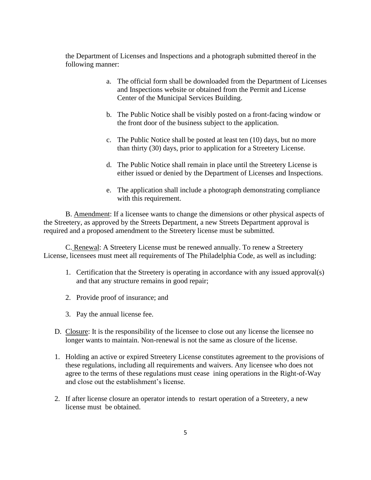the Department of Licenses and Inspections and a photograph submitted thereof in the following manner:

- a. The official form shall be downloaded from the Department of Licenses and Inspections website or obtained from the Permit and License Center of the Municipal Services Building.
- b. The Public Notice shall be visibly posted on a front-facing window or the front door of the business subject to the application.
- c. The Public Notice shall be posted at least ten (10) days, but no more than thirty (30) days, prior to application for a Streetery License.
- d. The Public Notice shall remain in place until the Streetery License is either issued or denied by the Department of Licenses and Inspections.
- e. The application shall include a photograph demonstrating compliance with this requirement.

B. Amendment: If a licensee wants to change the dimensions or other physical aspects of the Streetery, as approved by the Streets Department, a new Streets Department approval is required and a proposed amendment to the Streetery license must be submitted.

C. Renewal: A Streetery License must be renewed annually. To renew a Streetery License, licensees must meet all requirements of The Philadelphia Code, as well as including:

- 1. Certification that the Streetery is operating in accordance with any issued approval(s) and that any structure remains in good repair;
- 2. Provide proof of insurance; and
- 3. Pay the annual license fee.
- D. Closure: It is the responsibility of the licensee to close out any license the licensee no longer wants to maintain. Non-renewal is not the same as closure of the license.
- 1. Holding an active or expired Streetery License constitutes agreement to the provisions of these regulations, including all requirements and waivers. Any licensee who does not agree to the terms of these regulations must cease ining operations in the Right-of-Way and close out the establishment's license.
- 2. If after license closure an operator intends to restart operation of a Streetery, a new license must be obtained.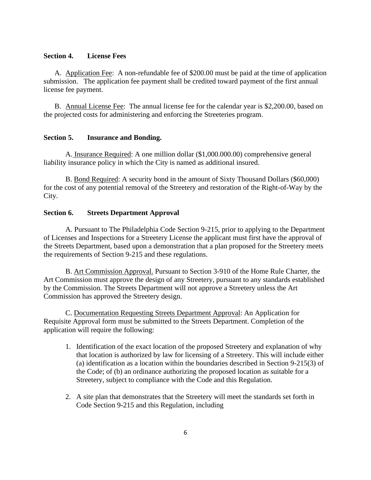#### **Section 4. License Fees**

A. Application Fee: A non-refundable fee of \$200.00 must be paid at the time of application submission. The application fee payment shall be credited toward payment of the first annual license fee payment.

B. Annual License Fee: The annual license fee for the calendar year is \$2,200.00, based on the projected costs for administering and enforcing the Streeteries program.

#### **Section 5. Insurance and Bonding.**

A. Insurance Required: A one million dollar (\$1,000.000.00) comprehensive general liability insurance policy in which the City is named as additional insured.

B. Bond Required: A security bond in the amount of Sixty Thousand Dollars (\$60,000) for the cost of any potential removal of the Streetery and restoration of the Right-of-Way by the City.

#### **Section 6. Streets Department Approval**

A. Pursuant to The Philadelphia Code Section 9-215, prior to applying to the Department of Licenses and Inspections for a Streetery License the applicant must first have the approval of the Streets Department, based upon a demonstration that a plan proposed for the Streetery meets the requirements of Section 9-215 and these regulations.

B. Art Commission Approval. Pursuant to Section 3-910 of the Home Rule Charter, the Art Commission must approve the design of any Streetery, pursuant to any standards established by the Commission. The Streets Department will not approve a Streetery unless the Art Commission has approved the Streetery design.

C. Documentation Requesting Streets Department Approval: An Application for Requisite Approval form must be submitted to the Streets Department. Completion of the application will require the following:

- 1. Identification of the exact location of the proposed Streetery and explanation of why that location is authorized by law for licensing of a Streetery. This will include either (a) identification as a location within the boundaries described in Section 9-215(3) of the Code; of (b) an ordinance authorizing the proposed location as suitable for a Streetery, subject to compliance with the Code and this Regulation.
- 2. A site plan that demonstrates that the Streetery will meet the standards set forth in Code Section 9-215 and this Regulation, including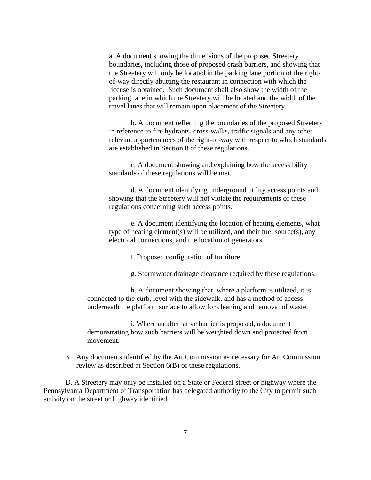a. A document showing the dimensions of the proposed Streetery boundaries, including those of proposed crash barriers, and showing that the Streetery will only be located in the parking lane portion of the rightof-way directly abutting the restaurant in connection with which the license is obtained. Such document shall also show the width of the parking lane in which the Streetery will be located and the width of the travel lanes that will remain upon placement of the Streetery.

b. A document reflecting the boundaries of the proposed Streetery in reference to fire hydrants, cross-walks, traffic signals and any other relevant appurtenances of the right-of-way with respect to which standards are established in Section 8 of these regulations.

c. A document showing and explaining how the accessibility standards of these regulations will be met.

d. A document identifying underground utility access points and showing that the Streetery will not violate the requirements of these regulations concerning such access points.

e. A document identifying the location of heating elements, what type of heating element(s) will be utilized, and their fuel source(s), any electrical connections, and the location of generators.

f. Proposed configuration of furniture.

g. Stormwater drainage clearance required by these regulations.

h. A document showing that, where a platform is utilized, it is connected to the curb, level with the sidewalk, and has a method of access underneath the platform surface to allow for cleaning and removal of waste.

i. Where an alternative barrier is proposed, a document demonstrating how such barriers will be weighted down and protected from movement.

3. Any documents identified by the Art Commission as necessary for Art Commission review as described at Section 6(B) of these regulations.

D. A Streetery may only be installed on a State or Federal street or highway where the Pennsylvania Department of Transportation has delegated authority to the City to permit such activity on the street or highway identified.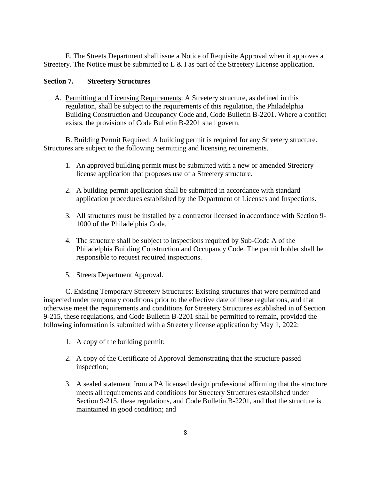E. The Streets Department shall issue a Notice of Requisite Approval when it approves a Streetery. The Notice must be submitted to L & I as part of the Streetery License application.

### **Section 7. Streetery Structures**

A. Permitting and Licensing Requirements: A Streetery structure, as defined in this regulation, shall be subject to the requirements of this regulation, the Philadelphia Building Construction and Occupancy Code and, Code Bulletin B-2201. Where a conflict exists, the provisions of Code Bulletin B-2201 shall govern.

B. Building Permit Required: A building permit is required for any Streetery structure. Structures are subject to the following permitting and licensing requirements.

- 1. An approved building permit must be submitted with a new or amended Streetery license application that proposes use of a Streetery structure.
- 2. A building permit application shall be submitted in accordance with standard application procedures established by the Department of Licenses and Inspections.
- 3. All structures must be installed by a contractor licensed in accordance with Section 9- 1000 of the Philadelphia Code.
- 4. The structure shall be subject to inspections required by Sub-Code A of the Philadelphia Building Construction and Occupancy Code. The permit holder shall be responsible to request required inspections.
- 5. Streets Department Approval.

C. Existing Temporary Streetery Structures: Existing structures that were permitted and inspected under temporary conditions prior to the effective date of these regulations, and that otherwise meet the requirements and conditions for Streetery Structures established in of Section 9-215, these regulations, and Code Bulletin B-2201 shall be permitted to remain, provided the following information is submitted with a Streetery license application by May 1, 2022:

- 1. A copy of the building permit;
- 2. A copy of the Certificate of Approval demonstrating that the structure passed inspection;
- 3. A sealed statement from a PA licensed design professional affirming that the structure meets all requirements and conditions for Streetery Structures established under Section 9-215, these regulations, and Code Bulletin B-2201, and that the structure is maintained in good condition; and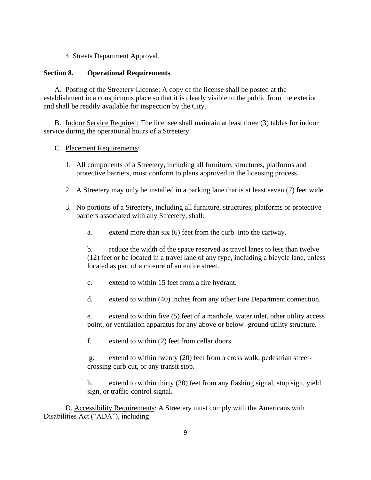4. Streets Department Approval.

### **Section 8. Operational Requirements**

A. Posting of the Streetery License: A copy of the license shall be posted at the establishment in a conspicuous place so that it is clearly visible to the public from the exterior and shall be readily available for inspection by the City.

B. Indoor Service Required: The licensee shall maintain at least three (3) tables for indoor service during the operational hours of a Streetery.

# C. Placement Requirements:

- 1. All components of a Streetery, including all furniture, structures, platforms and protective barriers, must conform to plans approved in the licensing process.
- 2. A Streetery may only be installed in a parking lane that is at least seven (7) feet wide.
- 3. No portions of a Streetery, including all furniture, structures, platforms or protective barriers associated with any Streetery, shall:
	- a. extend more than six (6) feet from the curb into the cartway.

b. reduce the width of the space reserved as travel lanes to less than twelve (12) feet or be located in a travel lane of any type, including a bicycle lane, unless located as part of a closure of an entire street.

- c. extend to within 15 feet from a fire hydrant.
- d. extend to within (40) inches from any other Fire Department connection.

e. extend to within five (5) feet of a manhole, water inlet, other utility access point, or ventilation apparatus for any above or below -ground utility structure.

f. extend to within (2) feet from cellar doors.

g. extend to within twenty (20) feet from a cross walk, pedestrian streetcrossing curb cut, or any transit stop.

h. extend to within thirty (30) feet from any flashing signal, stop sign, yield sign, or traffic-control signal.

D. Accessibility Requirements: A Streetery must comply with the Americans with Disabilities Act ("ADA"), including: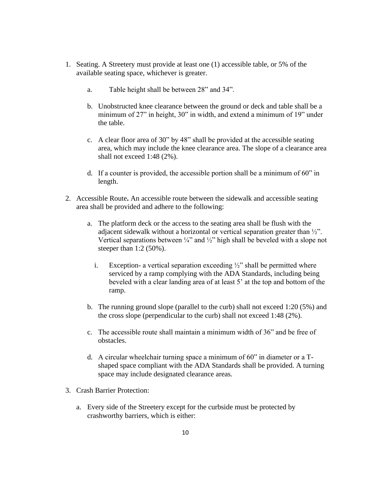- 1. Seating. A Streetery must provide at least one (1) accessible table, or 5% of the available seating space, whichever is greater.
	- a. Table height shall be between 28" and 34".
	- b. Unobstructed knee clearance between the ground or deck and table shall be a minimum of 27" in height, 30" in width, and extend a minimum of 19" under the table.
	- c. A clear floor area of 30" by 48" shall be provided at the accessible seating area, which may include the knee clearance area. The slope of a clearance area shall not exceed 1:48 (2%).
	- d. If a counter is provided, the accessible portion shall be a minimum of 60" in length.
- 2. Accessible Route**.** An accessible route between the sidewalk and accessible seating area shall be provided and adhere to the following:
	- a. The platform deck or the access to the seating area shall be flush with the adjacent sidewalk without a horizontal or vertical separation greater than ½". Vertical separations between  $\frac{1}{4}$ " and  $\frac{1}{2}$ " high shall be beveled with a slope not steeper than 1:2 (50%).
		- i. Exception- a vertical separation exceeding  $\frac{1}{2}$  shall be permitted where serviced by a ramp complying with the ADA Standards, including being beveled with a clear landing area of at least 5' at the top and bottom of the ramp.
	- b. The running ground slope (parallel to the curb) shall not exceed 1:20 (5%) and the cross slope (perpendicular to the curb) shall not exceed 1:48 (2%).
	- c. The accessible route shall maintain a minimum width of 36" and be free of obstacles.
	- d. A circular wheelchair turning space a minimum of 60" in diameter or a Tshaped space compliant with the ADA Standards shall be provided. A turning space may include designated clearance areas.
- 3. Crash Barrier Protection:
	- a. Every side of the Streetery except for the curbside must be protected by crashworthy barriers, which is either: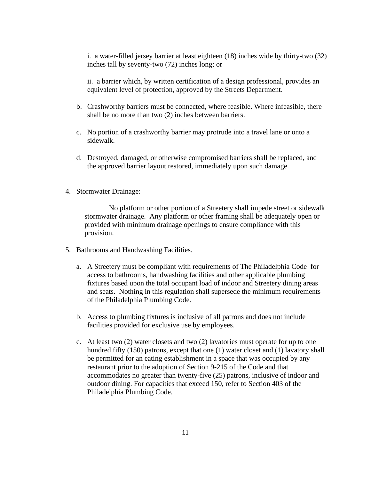i. a water-filled jersey barrier at least eighteen (18) inches wide by thirty-two (32) inches tall by seventy-two (72) inches long; or

ii. a barrier which, by written certification of a design professional, provides an equivalent level of protection, approved by the Streets Department.

- b. Crashworthy barriers must be connected, where feasible. Where infeasible, there shall be no more than two (2) inches between barriers.
- c. No portion of a crashworthy barrier may protrude into a travel lane or onto a sidewalk.
- d. Destroyed, damaged, or otherwise compromised barriers shall be replaced, and the approved barrier layout restored, immediately upon such damage.
- 4. Stormwater Drainage:

No platform or other portion of a Streetery shall impede street or sidewalk stormwater drainage. Any platform or other framing shall be adequately open or provided with minimum drainage openings to ensure compliance with this provision.

- 5. Bathrooms and Handwashing Facilities.
	- a. A Streetery must be compliant with requirements of The Philadelphia Code for access to bathrooms, handwashing facilities and other applicable plumbing fixtures based upon the total occupant load of indoor and Streetery dining areas and seats. Nothing in this regulation shall supersede the minimum requirements of the Philadelphia Plumbing Code.
	- b. Access to plumbing fixtures is inclusive of all patrons and does not include facilities provided for exclusive use by employees.
	- c. At least two (2) water closets and two (2) lavatories must operate for up to one hundred fifty (150) patrons, except that one (1) water closet and (1) lavatory shall be permitted for an eating establishment in a space that was occupied by any restaurant prior to the adoption of Section 9-215 of the Code and that accommodates no greater than twenty-five (25) patrons, inclusive of indoor and outdoor dining. For capacities that exceed 150, refer to Section 403 of the Philadelphia Plumbing Code.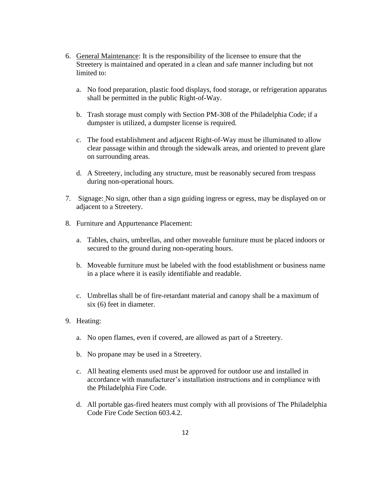- 6. General Maintenance: It is the responsibility of the licensee to ensure that the Streetery is maintained and operated in a clean and safe manner including but not limited to:
	- a. No food preparation, plastic food displays, food storage, or refrigeration apparatus shall be permitted in the public Right-of-Way.
	- b. Trash storage must comply with Section PM-308 of the Philadelphia Code; if a dumpster is utilized, a dumpster license is required.
	- c. The food establishment and adjacent Right-of-Way must be illuminated to allow clear passage within and through the sidewalk areas, and oriented to prevent glare on surrounding areas.
	- d. A Streetery, including any structure, must be reasonably secured from trespass during non-operational hours.
- 7. Signage: No sign, other than a sign guiding ingress or egress, may be displayed on or adjacent to a Streetery.
- 8. Furniture and Appurtenance Placement:
	- a. Tables, chairs, umbrellas, and other moveable furniture must be placed indoors or secured to the ground during non-operating hours.
	- b. Moveable furniture must be labeled with the food establishment or business name in a place where it is easily identifiable and readable.
	- c. Umbrellas shall be of fire-retardant material and canopy shall be a maximum of six (6) feet in diameter.
- 9. Heating:
	- a. No open flames, even if covered, are allowed as part of a Streetery.
	- b. No propane may be used in a Streetery.
	- c. All heating elements used must be approved for outdoor use and installed in accordance with manufacturer's installation instructions and in compliance with the Philadelphia Fire Code.
	- d. All portable gas-fired heaters must comply with all provisions of The Philadelphia Code Fire Code Section 603.4.2.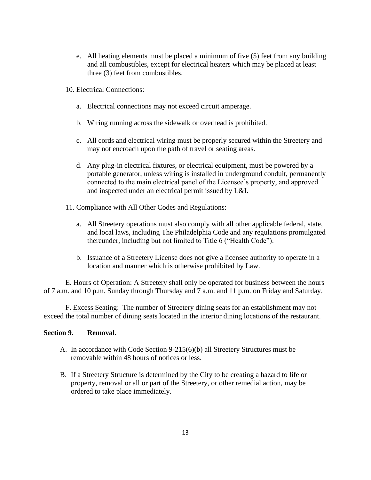- e. All heating elements must be placed a minimum of five (5) feet from any building and all combustibles, except for electrical heaters which may be placed at least three (3) feet from combustibles.
- 10. Electrical Connections:
	- a. Electrical connections may not exceed circuit amperage.
	- b. Wiring running across the sidewalk or overhead is prohibited.
	- c. All cords and electrical wiring must be properly secured within the Streetery and may not encroach upon the path of travel or seating areas.
	- d. Any plug-in electrical fixtures, or electrical equipment, must be powered by a portable generator, unless wiring is installed in underground conduit, permanently connected to the main electrical panel of the Licensee's property, and approved and inspected under an electrical permit issued by L&I.
- 11. Compliance with All Other Codes and Regulations:
	- a. All Streetery operations must also comply with all other applicable federal, state, and local laws, including The Philadelphia Code and any regulations promulgated thereunder, including but not limited to Title 6 ("Health Code").
	- b. Issuance of a Streetery License does not give a licensee authority to operate in a location and manner which is otherwise prohibited by Law.

E. Hours of Operation: A Streetery shall only be operated for business between the hours of 7 a.m. and 10 p.m. Sunday through Thursday and 7 a.m. and 11 p.m. on Friday and Saturday.

F. Excess Seating: The number of Streetery dining seats for an establishment may not exceed the total number of dining seats located in the interior dining locations of the restaurant.

#### **Section 9. Removal.**

- A. In accordance with Code Section 9-215(6)(b) all Streetery Structures must be removable within 48 hours of notices or less.
- B. If a Streetery Structure is determined by the City to be creating a hazard to life or property, removal or all or part of the Streetery, or other remedial action, may be ordered to take place immediately.